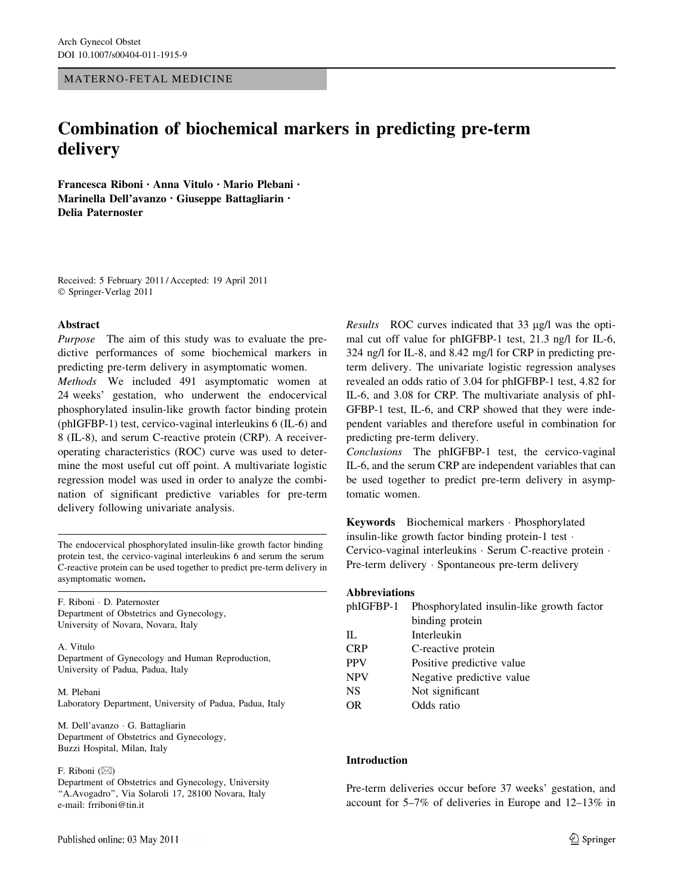### MATERNO-FETAL MEDICINE

# Combination of biochemical markers in predicting pre-term delivery

Francesca Riboni • Anna Vitulo • Mario Plebani • Marinella Dell'avanzo • Giuseppe Battagliarin • Delia Paternoster

Received: 5 February 2011 / Accepted: 19 April 2011 © Springer-Verlag 2011

# Abstract

Purpose The aim of this study was to evaluate the predictive performances of some biochemical markers in predicting pre-term delivery in asymptomatic women.

Methods We included 491 asymptomatic women at 24 weeks' gestation, who underwent the endocervical phosphorylated insulin-like growth factor binding protein (phIGFBP-1) test, cervico-vaginal interleukins 6 (IL-6) and 8 (IL-8), and serum C-reactive protein (CRP). A receiveroperating characteristics (ROC) curve was used to determine the most useful cut off point. A multivariate logistic regression model was used in order to analyze the combination of significant predictive variables for pre-term delivery following univariate analysis.

The endocervical phosphorylated insulin-like growth factor binding protein test, the cervico-vaginal interleukins 6 and serum the serum C-reactive protein can be used together to predict pre-term delivery in asymptomatic women.

F. Riboni - D. Paternoster Department of Obstetrics and Gynecology, University of Novara, Novara, Italy

A. Vitulo Department of Gynecology and Human Reproduction, University of Padua, Padua, Italy

M. Plebani Laboratory Department, University of Padua, Padua, Italy

M. Dell'avanzo - G. Battagliarin Department of Obstetrics and Gynecology, Buzzi Hospital, Milan, Italy

F. Riboni  $(\boxtimes)$ 

Department of Obstetrics and Gynecology, University ''A.Avogadro'', Via Solaroli 17, 28100 Novara, Italy e-mail: frriboni@tin.it

Results ROC curves indicated that  $33 \mu g/l$  was the optimal cut off value for phIGFBP-1 test, 21.3 ng/l for IL-6, 324 ng/l for IL-8, and 8.42 mg/l for CRP in predicting preterm delivery. The univariate logistic regression analyses revealed an odds ratio of 3.04 for phIGFBP-1 test, 4.82 for IL-6, and 3.08 for CRP. The multivariate analysis of phI-GFBP-1 test, IL-6, and CRP showed that they were independent variables and therefore useful in combination for predicting pre-term delivery.

Conclusions The phIGFBP-1 test, the cervico-vaginal IL-6, and the serum CRP are independent variables that can be used together to predict pre-term delivery in asymptomatic women.

Keywords Biochemical markers - Phosphorylated insulin-like growth factor binding protein-1 test - Cervico-vaginal interleukins · Serum C-reactive protein · Pre-term delivery · Spontaneous pre-term delivery

#### Abbreviations

|            | phIGFBP-1 Phosphorylated insulin-like growth factor |  |  |  |  |
|------------|-----------------------------------------------------|--|--|--|--|
|            | binding protein                                     |  |  |  |  |
| Π.         | Interleukin                                         |  |  |  |  |
| <b>CRP</b> | C-reactive protein                                  |  |  |  |  |
| <b>PPV</b> | Positive predictive value                           |  |  |  |  |
| <b>NPV</b> | Negative predictive value                           |  |  |  |  |
| <b>NS</b>  | Not significant                                     |  |  |  |  |
| OR         | Odds ratio                                          |  |  |  |  |

# Introduction

Pre-term deliveries occur before 37 weeks' gestation, and account for 5–7% of deliveries in Europe and 12–13% in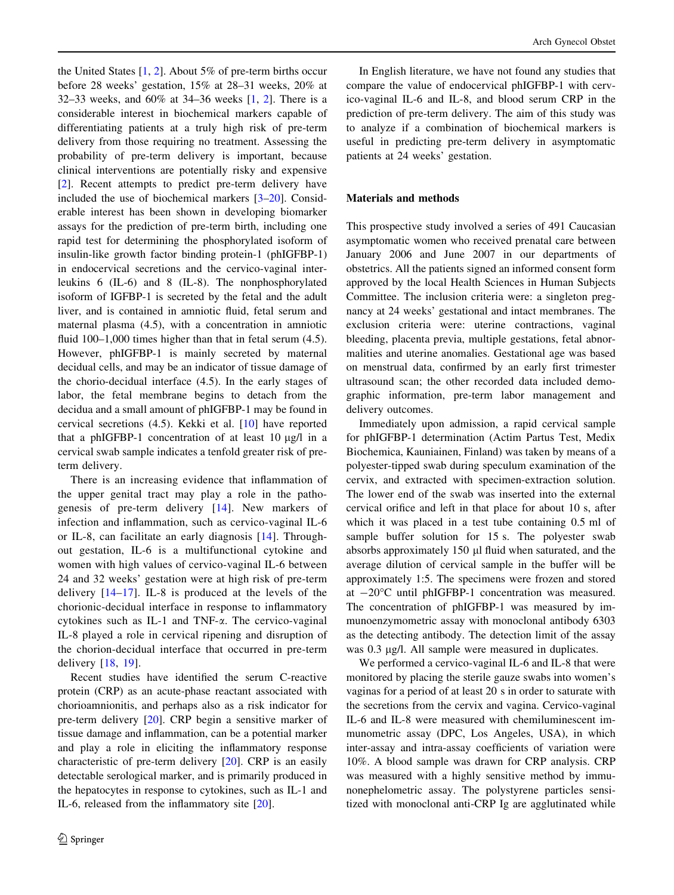the United States [[1,](#page-4-0) [2](#page-4-0)]. About 5% of pre-term births occur before 28 weeks' gestation, 15% at 28–31 weeks, 20% at 32–33 weeks, and 60% at 34–36 weeks [[1,](#page-4-0) [2\]](#page-4-0). There is a considerable interest in biochemical markers capable of differentiating patients at a truly high risk of pre-term delivery from those requiring no treatment. Assessing the probability of pre-term delivery is important, because clinical interventions are potentially risky and expensive [\[2](#page-4-0)]. Recent attempts to predict pre-term delivery have included the use of biochemical markers [[3–](#page-4-0)[20\]](#page-5-0). Considerable interest has been shown in developing biomarker assays for the prediction of pre-term birth, including one rapid test for determining the phosphorylated isoform of insulin-like growth factor binding protein-1 (phIGFBP-1) in endocervical secretions and the cervico-vaginal interleukins 6 (IL-6) and 8 (IL-8). The nonphosphorylated isoform of IGFBP-1 is secreted by the fetal and the adult liver, and is contained in amniotic fluid, fetal serum and maternal plasma (4.5), with a concentration in amniotic fluid 100–1,000 times higher than that in fetal serum (4.5). However, phIGFBP-1 is mainly secreted by maternal decidual cells, and may be an indicator of tissue damage of the chorio-decidual interface (4.5). In the early stages of labor, the fetal membrane begins to detach from the decidua and a small amount of phIGFBP-1 may be found in cervical secretions (4.5). Kekki et al. [[10\]](#page-4-0) have reported that a phIGFBP-1 concentration of at least  $10 \mu g/l$  in a cervical swab sample indicates a tenfold greater risk of preterm delivery.

There is an increasing evidence that inflammation of the upper genital tract may play a role in the pathogenesis of pre-term delivery [[14](#page-4-0)]. New markers of infection and inflammation, such as cervico-vaginal IL-6 or IL-8, can facilitate an early diagnosis [[14\]](#page-4-0). Throughout gestation, IL-6 is a multifunctional cytokine and women with high values of cervico-vaginal IL-6 between 24 and 32 weeks' gestation were at high risk of pre-term delivery  $[14-17]$ . IL-8 is produced at the levels of the chorionic-decidual interface in response to inflammatory cytokines such as IL-1 and TNF-a. The cervico-vaginal IL-8 played a role in cervical ripening and disruption of the chorion-decidual interface that occurred in pre-term delivery [[18](#page-4-0), [19\]](#page-5-0).

Recent studies have identified the serum C-reactive protein (CRP) as an acute-phase reactant associated with chorioamnionitis, and perhaps also as a risk indicator for pre-term delivery [\[20](#page-5-0)]. CRP begin a sensitive marker of tissue damage and inflammation, can be a potential marker and play a role in eliciting the inflammatory response characteristic of pre-term delivery [\[20](#page-5-0)]. CRP is an easily detectable serological marker, and is primarily produced in the hepatocytes in response to cytokines, such as IL-1 and IL-6, released from the inflammatory site [\[20\]](#page-5-0).

In English literature, we have not found any studies that compare the value of endocervical phIGFBP-1 with cervico-vaginal IL-6 and IL-8, and blood serum CRP in the prediction of pre-term delivery. The aim of this study was to analyze if a combination of biochemical markers is useful in predicting pre-term delivery in asymptomatic patients at 24 weeks' gestation.

# Materials and methods

This prospective study involved a series of 491 Caucasian asymptomatic women who received prenatal care between January 2006 and June 2007 in our departments of obstetrics. All the patients signed an informed consent form approved by the local Health Sciences in Human Subjects Committee. The inclusion criteria were: a singleton pregnancy at 24 weeks' gestational and intact membranes. The exclusion criteria were: uterine contractions, vaginal bleeding, placenta previa, multiple gestations, fetal abnormalities and uterine anomalies. Gestational age was based on menstrual data, confirmed by an early first trimester ultrasound scan; the other recorded data included demographic information, pre-term labor management and delivery outcomes.

Immediately upon admission, a rapid cervical sample for phIGFBP-1 determination (Actim Partus Test, Medix Biochemica, Kauniainen, Finland) was taken by means of a polyester-tipped swab during speculum examination of the cervix, and extracted with specimen-extraction solution. The lower end of the swab was inserted into the external cervical orifice and left in that place for about 10 s, after which it was placed in a test tube containing 0.5 ml of sample buffer solution for 15 s. The polyester swab absorbs approximately 150 µl fluid when saturated, and the average dilution of cervical sample in the buffer will be approximately 1:5. The specimens were frozen and stored at  $-20^{\circ}$ C until phIGFBP-1 concentration was measured. The concentration of phIGFBP-1 was measured by immunoenzymometric assay with monoclonal antibody 6303 as the detecting antibody. The detection limit of the assay was 0.3 μg/l. All sample were measured in duplicates.

We performed a cervico-vaginal IL-6 and IL-8 that were monitored by placing the sterile gauze swabs into women's vaginas for a period of at least 20 s in order to saturate with the secretions from the cervix and vagina. Cervico-vaginal IL-6 and IL-8 were measured with chemiluminescent immunometric assay (DPC, Los Angeles, USA), in which inter-assay and intra-assay coefficients of variation were 10%. A blood sample was drawn for CRP analysis. CRP was measured with a highly sensitive method by immunonephelometric assay. The polystyrene particles sensitized with monoclonal anti-CRP Ig are agglutinated while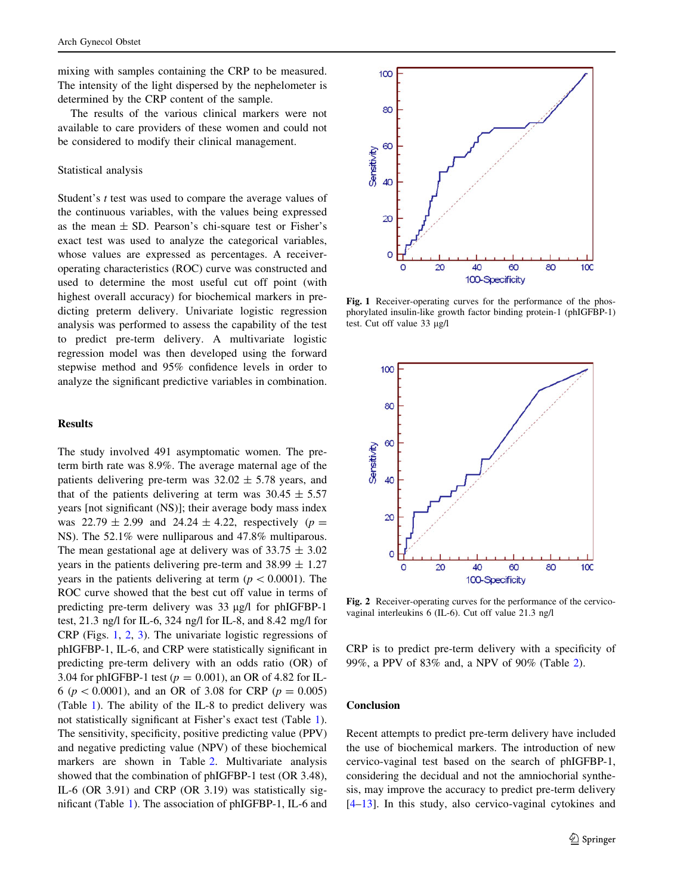mixing with samples containing the CRP to be measured. The intensity of the light dispersed by the nephelometer is determined by the CRP content of the sample.

The results of the various clinical markers were not available to care providers of these women and could not be considered to modify their clinical management.

#### Statistical analysis

Student's t test was used to compare the average values of the continuous variables, with the values being expressed as the mean  $\pm$  SD. Pearson's chi-square test or Fisher's exact test was used to analyze the categorical variables, whose values are expressed as percentages. A receiveroperating characteristics (ROC) curve was constructed and used to determine the most useful cut off point (with highest overall accuracy) for biochemical markers in predicting preterm delivery. Univariate logistic regression analysis was performed to assess the capability of the test to predict pre-term delivery. A multivariate logistic regression model was then developed using the forward stepwise method and 95% confidence levels in order to analyze the significant predictive variables in combination.

#### Results

The study involved 491 asymptomatic women. The preterm birth rate was 8.9%. The average maternal age of the patients delivering pre-term was  $32.02 \pm 5.78$  years, and that of the patients delivering at term was  $30.45 \pm 5.57$ years [not significant (NS)]; their average body mass index was  $22.79 \pm 2.99$  and  $24.24 \pm 4.22$ , respectively ( $p =$ NS). The 52.1% were nulliparous and 47.8% multiparous. The mean gestational age at delivery was of  $33.75 \pm 3.02$ years in the patients delivering pre-term and  $38.99 \pm 1.27$ years in the patients delivering at term ( $p \lt 0.0001$ ). The ROC curve showed that the best cut off value in terms of predicting pre-term delivery was 33 µg/l for phIGFBP-1 test, 21.3 ng/l for IL-6, 324 ng/l for IL-8, and 8.42 mg/l for CRP (Figs. 1, 2, [3\)](#page-3-0). The univariate logistic regressions of phIGFBP-1, IL-6, and CRP were statistically significant in predicting pre-term delivery with an odds ratio (OR) of 3.04 for phIGFBP-1 test ( $p = 0.001$ ), an OR of 4.82 for IL-6 ( $p < 0.0001$ ), and an OR of 3.08 for CRP ( $p = 0.005$ ) (Table [1](#page-3-0)). The ability of the IL-8 to predict delivery was not statistically significant at Fisher's exact test (Table [1](#page-3-0)). The sensitivity, specificity, positive predicting value (PPV) and negative predicting value (NPV) of these biochemical markers are shown in Table [2](#page-3-0). Multivariate analysis showed that the combination of phIGFBP-1 test (OR 3.48), IL-6 (OR 3.91) and CRP (OR 3.19) was statistically significant (Table [1](#page-3-0)). The association of phIGFBP-1, IL-6 and



Fig. 1 Receiver-operating curves for the performance of the phosphorylated insulin-like growth factor binding protein-1 (phIGFBP-1) test. Cut off value  $33 \mu g/l$ 



Fig. 2 Receiver-operating curves for the performance of the cervicovaginal interleukins 6 (IL-6). Cut off value 21.3 ng/l

CRP is to predict pre-term delivery with a specificity of 99%, a PPV of 83% and, a NPV of 90% (Table [2\)](#page-3-0).

## Conclusion

Recent attempts to predict pre-term delivery have included the use of biochemical markers. The introduction of new cervico-vaginal test based on the search of phIGFBP-1, considering the decidual and not the amniochorial synthesis, may improve the accuracy to predict pre-term delivery [\[4–13](#page-4-0)]. In this study, also cervico-vaginal cytokines and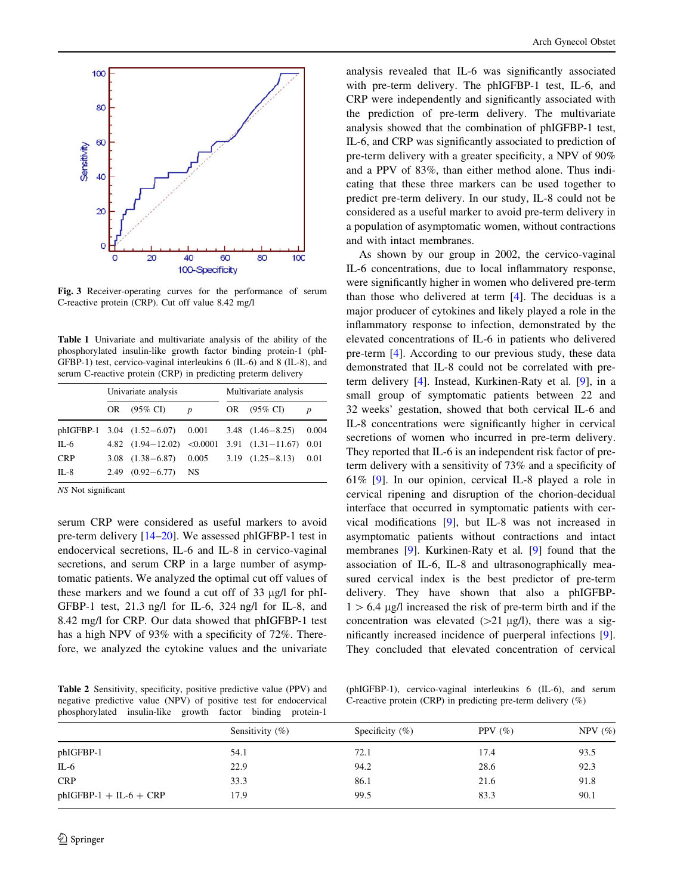<span id="page-3-0"></span>

Fig. 3 Receiver-operating curves for the performance of serum C-reactive protein (CRP). Cut off value 8.42 mg/l

Table 1 Univariate and multivariate analysis of the ability of the phosphorylated insulin-like growth factor binding protein-1 (phI-GFBP-1) test, cervico-vaginal interleukins 6 (IL-6) and 8 (IL-8), and serum C-reactive protein (CRP) in predicting preterm delivery

|            | Univariate analysis |                             |   | Multivariate analysis |                                                             |                  |
|------------|---------------------|-----------------------------|---|-----------------------|-------------------------------------------------------------|------------------|
|            |                     | OR (95% CI)                 | p |                       | OR (95% CI)                                                 | $\boldsymbol{p}$ |
|            |                     |                             |   |                       | phIGFBP-1 3.04 $(1.52-6.07)$ 0.001 3.48 $(1.46-8.25)$ 0.004 |                  |
| IL-6       |                     | 4.82 $(1.94-12.02)$ <0.0001 |   |                       | $3.91$ $(1.31-11.67)$ 0.01                                  |                  |
| <b>CRP</b> |                     |                             |   |                       | 3.08 $(1.38-6.87)$ 0.005 3.19 $(1.25-8.13)$ 0.01            |                  |
| $IL-8$     |                     | $2.49$ $(0.92 - 6.77)$ NS   |   |                       |                                                             |                  |

NS Not significant

serum CRP were considered as useful markers to avoid pre-term delivery [[14–](#page-4-0)[20\]](#page-5-0). We assessed phIGFBP-1 test in endocervical secretions, IL-6 and IL-8 in cervico-vaginal secretions, and serum CRP in a large number of asymptomatic patients. We analyzed the optimal cut off values of these markers and we found a cut off of  $33 \mu g/l$  for phI-GFBP-1 test, 21.3 ng/l for IL-6, 324 ng/l for IL-8, and 8.42 mg/l for CRP. Our data showed that phIGFBP-1 test has a high NPV of 93% with a specificity of 72%. Therefore, we analyzed the cytokine values and the univariate

analysis revealed that IL-6 was significantly associated with pre-term delivery. The phIGFBP-1 test, IL-6, and CRP were independently and significantly associated with the prediction of pre-term delivery. The multivariate analysis showed that the combination of phIGFBP-1 test, IL-6, and CRP was significantly associated to prediction of pre-term delivery with a greater specificity, a NPV of 90% and a PPV of 83%, than either method alone. Thus indicating that these three markers can be used together to predict pre-term delivery. In our study, IL-8 could not be considered as a useful marker to avoid pre-term delivery in a population of asymptomatic women, without contractions and with intact membranes.

As shown by our group in 2002, the cervico-vaginal IL-6 concentrations, due to local inflammatory response, were significantly higher in women who delivered pre-term than those who delivered at term [\[4](#page-4-0)]. The deciduas is a major producer of cytokines and likely played a role in the inflammatory response to infection, demonstrated by the elevated concentrations of IL-6 in patients who delivered pre-term [[4\]](#page-4-0). According to our previous study, these data demonstrated that IL-8 could not be correlated with preterm delivery [\[4](#page-4-0)]. Instead, Kurkinen-Raty et al. [[9\]](#page-4-0), in a small group of symptomatic patients between 22 and 32 weeks' gestation, showed that both cervical IL-6 and IL-8 concentrations were significantly higher in cervical secretions of women who incurred in pre-term delivery. They reported that IL-6 is an independent risk factor of preterm delivery with a sensitivity of 73% and a specificity of 61% [\[9](#page-4-0)]. In our opinion, cervical IL-8 played a role in cervical ripening and disruption of the chorion-decidual interface that occurred in symptomatic patients with cervical modifications [[9\]](#page-4-0), but IL-8 was not increased in asymptomatic patients without contractions and intact membranes [\[9](#page-4-0)]. Kurkinen-Raty et al. [[9\]](#page-4-0) found that the association of IL-6, IL-8 and ultrasonographically measured cervical index is the best predictor of pre-term delivery. They have shown that also a phIGFBP- $1 > 6.4$  µg/l increased the risk of pre-term birth and if the concentration was elevated  $(>=21 \text{ µg/l})$ , there was a significantly increased incidence of puerperal infections [\[9](#page-4-0)]. They concluded that elevated concentration of cervical

Table 2 Sensitivity, specificity, positive predictive value (PPV) and negative predictive value (NPV) of positive test for endocervical phosphorylated insulin-like growth factor binding protein-1

(phIGFBP-1), cervico-vaginal interleukins 6 (IL-6), and serum C-reactive protein (CRP) in predicting pre-term delivery (%)

| Sensitivity $(\%)$ | Specificity $(\%)$ | PPV $(\% )$ | NPV $(\%)$ |  |  |
|--------------------|--------------------|-------------|------------|--|--|
| 54.1               | 72.1               | 17.4        | 93.5       |  |  |
| 22.9               | 94.2               | 28.6        | 92.3       |  |  |
| 33.3               | 86.1               | 21.6        | 91.8       |  |  |
| 17.9               | 99.5               | 83.3        | 90.1       |  |  |
|                    |                    |             |            |  |  |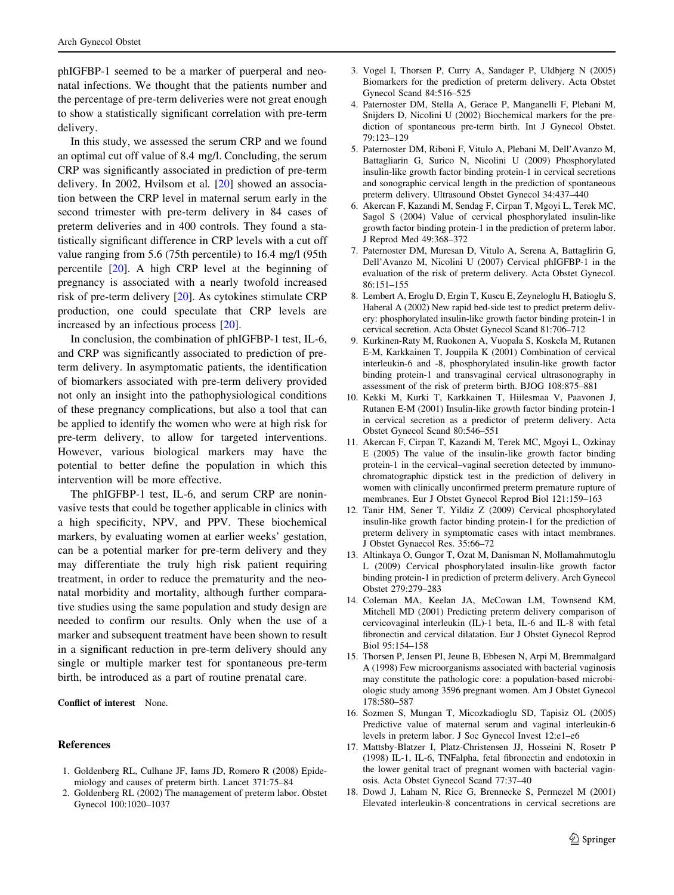<span id="page-4-0"></span>phIGFBP-1 seemed to be a marker of puerperal and neonatal infections. We thought that the patients number and the percentage of pre-term deliveries were not great enough to show a statistically significant correlation with pre-term delivery.

In this study, we assessed the serum CRP and we found an optimal cut off value of 8.4 mg/l. Concluding, the serum CRP was significantly associated in prediction of pre-term delivery. In 2002, Hvilsom et al. [\[20](#page-5-0)] showed an association between the CRP level in maternal serum early in the second trimester with pre-term delivery in 84 cases of preterm deliveries and in 400 controls. They found a statistically significant difference in CRP levels with a cut off value ranging from 5.6 (75th percentile) to 16.4 mg/l (95th percentile [\[20](#page-5-0)]. A high CRP level at the beginning of pregnancy is associated with a nearly twofold increased risk of pre-term delivery [[20\]](#page-5-0). As cytokines stimulate CRP production, one could speculate that CRP levels are increased by an infectious process [[20\]](#page-5-0).

In conclusion, the combination of phIGFBP-1 test, IL-6, and CRP was significantly associated to prediction of preterm delivery. In asymptomatic patients, the identification of biomarkers associated with pre-term delivery provided not only an insight into the pathophysiological conditions of these pregnancy complications, but also a tool that can be applied to identify the women who were at high risk for pre-term delivery, to allow for targeted interventions. However, various biological markers may have the potential to better define the population in which this intervention will be more effective.

The phIGFBP-1 test, IL-6, and serum CRP are noninvasive tests that could be together applicable in clinics with a high specificity, NPV, and PPV. These biochemical markers, by evaluating women at earlier weeks' gestation, can be a potential marker for pre-term delivery and they may differentiate the truly high risk patient requiring treatment, in order to reduce the prematurity and the neonatal morbidity and mortality, although further comparative studies using the same population and study design are needed to confirm our results. Only when the use of a marker and subsequent treatment have been shown to result in a significant reduction in pre-term delivery should any single or multiple marker test for spontaneous pre-term birth, be introduced as a part of routine prenatal care.

Conflict of interest None.

#### References

- 1. Goldenberg RL, Culhane JF, Iams JD, Romero R (2008) Epidemiology and causes of preterm birth. Lancet 371:75–84
- 2. Goldenberg RL (2002) The management of preterm labor. Obstet Gynecol 100:1020–1037
- 3. Vogel I, Thorsen P, Curry A, Sandager P, Uldbjerg N (2005) Biomarkers for the prediction of preterm delivery. Acta Obstet Gynecol Scand 84:516–525
- 4. Paternoster DM, Stella A, Gerace P, Manganelli F, Plebani M, Snijders D, Nicolini U (2002) Biochemical markers for the prediction of spontaneous pre-term birth. Int J Gynecol Obstet. 79:123–129
- 5. Paternoster DM, Riboni F, Vitulo A, Plebani M, Dell'Avanzo M, Battagliarin G, Surico N, Nicolini U (2009) Phosphorylated insulin-like growth factor binding protein-1 in cervical secretions and sonographic cervical length in the prediction of spontaneous preterm delivery. Ultrasound Obstet Gynecol 34:437–440
- 6. Akercan F, Kazandi M, Sendag F, Cirpan T, Mgoyi L, Terek MC, Sagol S (2004) Value of cervical phosphorylated insulin-like growth factor binding protein-1 in the prediction of preterm labor. J Reprod Med 49:368–372
- 7. Paternoster DM, Muresan D, Vitulo A, Serena A, Battaglirin G, Dell'Avanzo M, Nicolini U (2007) Cervical phIGFBP-1 in the evaluation of the risk of preterm delivery. Acta Obstet Gynecol. 86:151–155
- 8. Lembert A, Eroglu D, Ergin T, Kuscu E, Zeyneloglu H, Batioglu S, Haberal A (2002) New rapid bed-side test to predict preterm delivery: phosphorylated insulin-like growth factor binding protein-1 in cervical secretion. Acta Obstet Gynecol Scand 81:706–712
- 9. Kurkinen-Raty M, Ruokonen A, Vuopala S, Koskela M, Rutanen E-M, Karkkainen T, Jouppila K (2001) Combination of cervical interleukin-6 and -8, phosphorylated insulin-like growth factor binding protein-1 and transvaginal cervical ultrasonography in assessment of the risk of preterm birth. BJOG 108:875–881
- 10. Kekki M, Kurki T, Karkkainen T, Hiilesmaa V, Paavonen J, Rutanen E-M (2001) Insulin-like growth factor binding protein-1 in cervical secretion as a predictor of preterm delivery. Acta Obstet Gynecol Scand 80:546–551
- 11. Akercan F, Cirpan T, Kazandi M, Terek MC, Mgoyi L, Ozkinay E (2005) The value of the insulin-like growth factor binding protein-1 in the cervical–vaginal secretion detected by immunochromatographic dipstick test in the prediction of delivery in women with clinically unconfirmed preterm premature rupture of membranes. Eur J Obstet Gynecol Reprod Biol 121:159–163
- 12. Tanir HM, Sener T, Yildiz Z (2009) Cervical phosphorylated insulin-like growth factor binding protein-1 for the prediction of preterm delivery in symptomatic cases with intact membranes. J Obstet Gynaecol Res. 35:66–72
- 13. Altinkaya O, Gungor T, Ozat M, Danisman N, Mollamahmutoglu L (2009) Cervical phosphorylated insulin-like growth factor binding protein-1 in prediction of preterm delivery. Arch Gynecol Obstet 279:279–283
- 14. Coleman MA, Keelan JA, McCowan LM, Townsend KM, Mitchell MD (2001) Predicting preterm delivery comparison of cervicovaginal interleukin (IL)-1 beta, IL-6 and IL-8 with fetal fibronectin and cervical dilatation. Eur J Obstet Gynecol Reprod Biol 95:154–158
- 15. Thorsen P, Jensen PI, Jeune B, Ebbesen N, Arpi M, Bremmalgard A (1998) Few microorganisms associated with bacterial vaginosis may constitute the pathologic core: a population-based microbiologic study among 3596 pregnant women. Am J Obstet Gynecol 178:580–587
- 16. Sozmen S, Mungan T, Micozkadioglu SD, Tapisiz OL (2005) Predictive value of maternal serum and vaginal interleukin-6 levels in preterm labor. J Soc Gynecol Invest 12:e1–e6
- 17. Mattsby-Blatzer I, Platz-Christensen JJ, Hosseini N, Rosetr P (1998) IL-1, IL-6, TNFalpha, fetal fibronectin and endotoxin in the lower genital tract of pregnant women with bacterial vaginosis. Acta Obstet Gynecol Scand 77:37–40
- 18. Dowd J, Laham N, Rice G, Brennecke S, Permezel M (2001) Elevated interleukin-8 concentrations in cervical secretions are